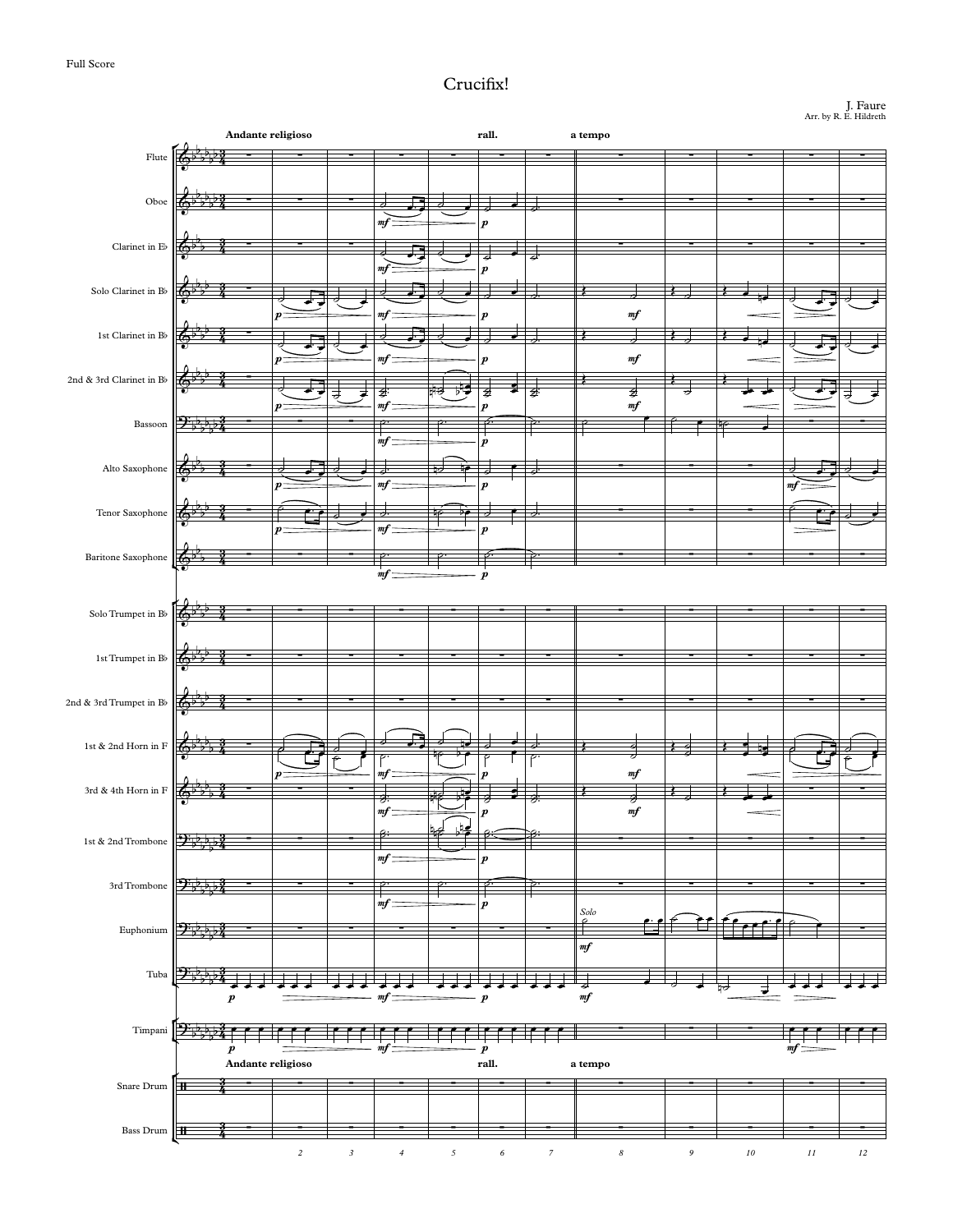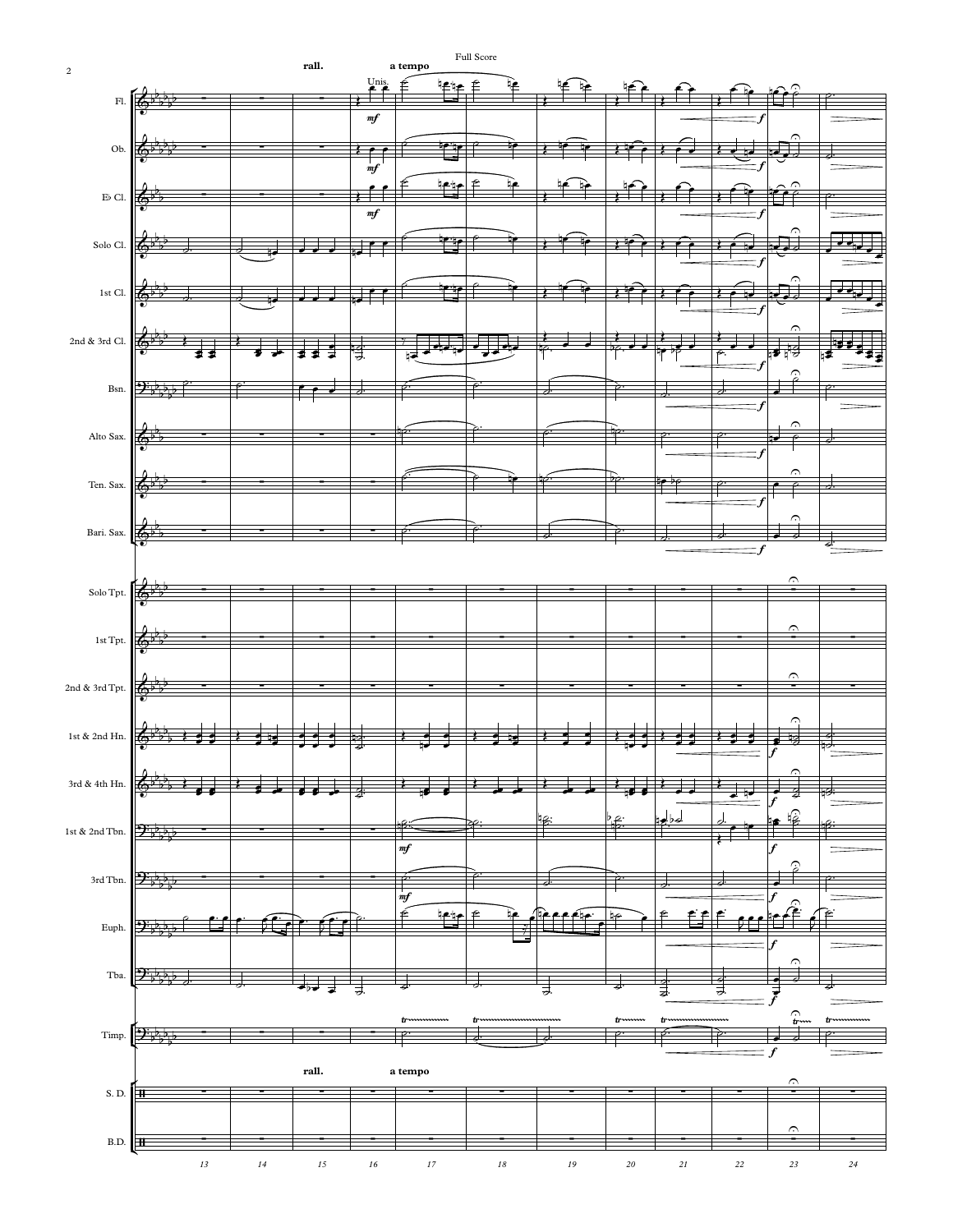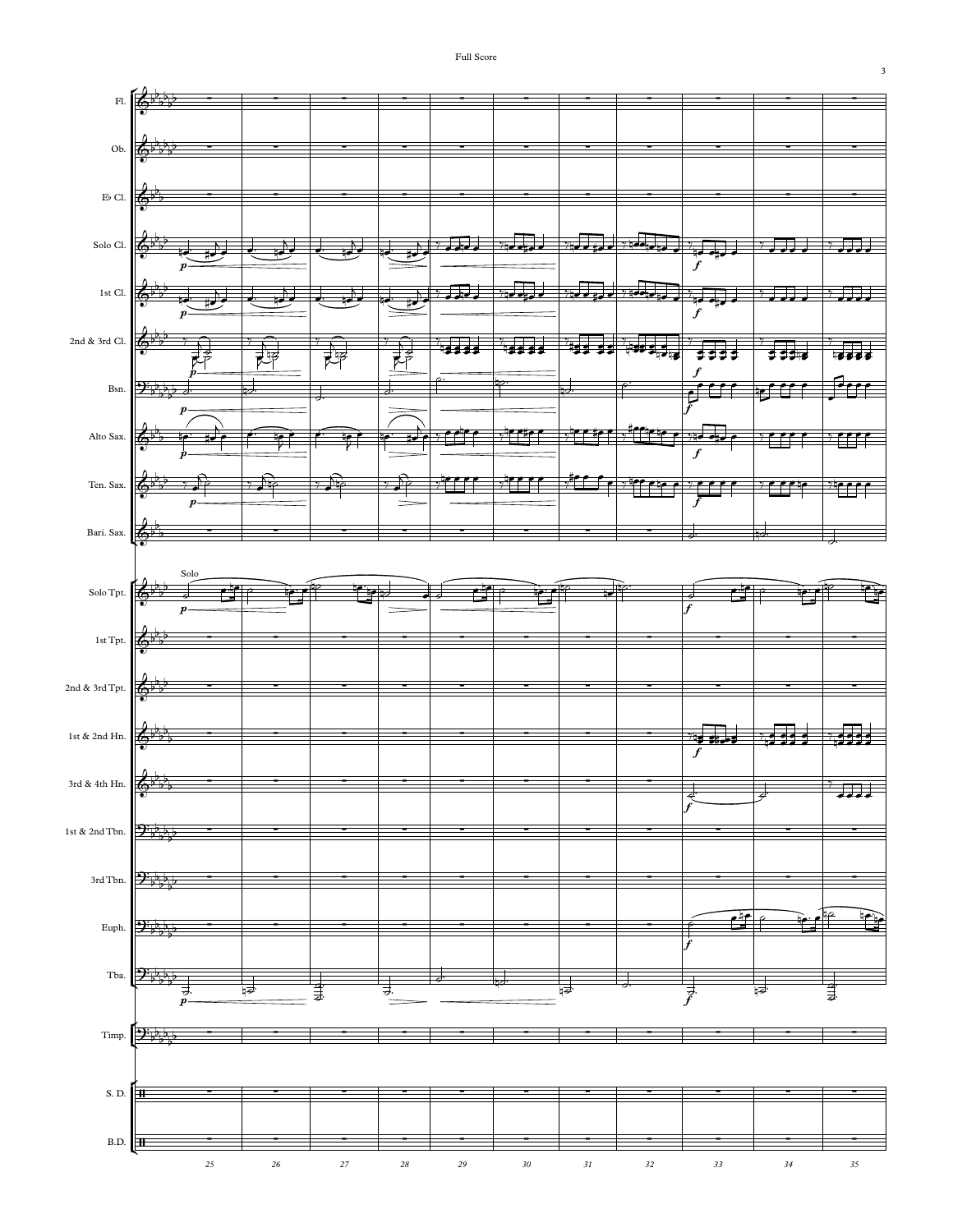

3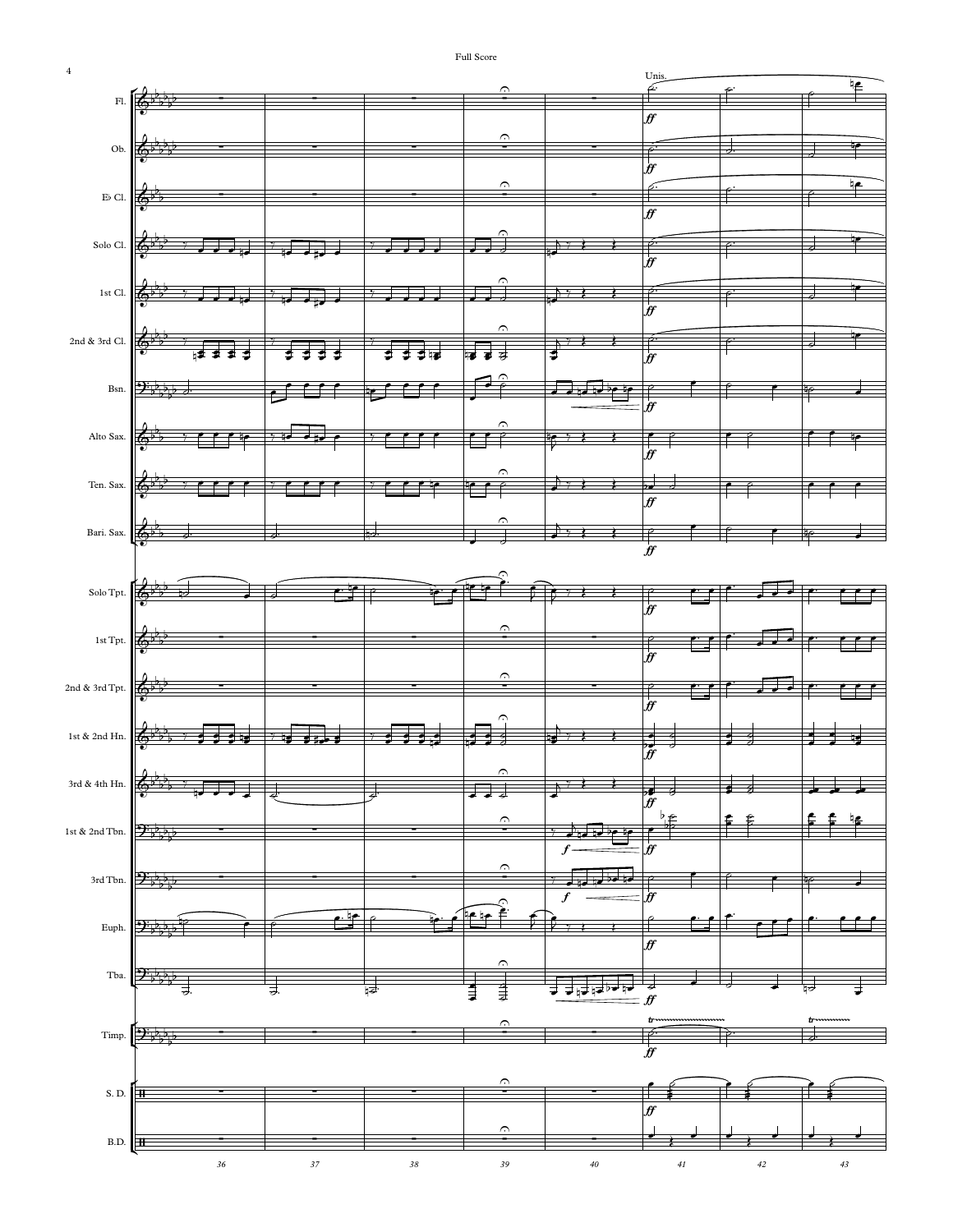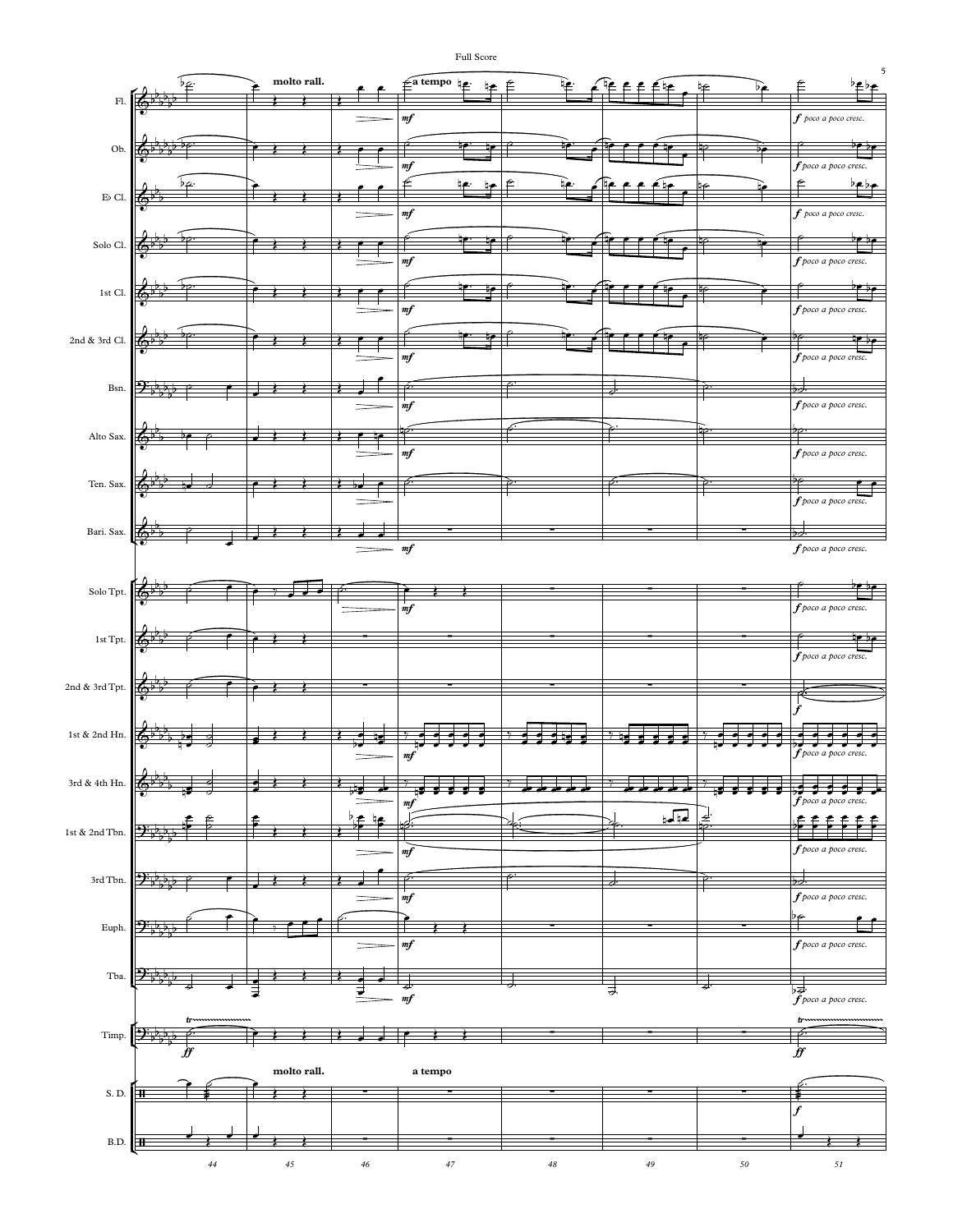| <b>Full Score</b> |  |
|-------------------|--|
|-------------------|--|

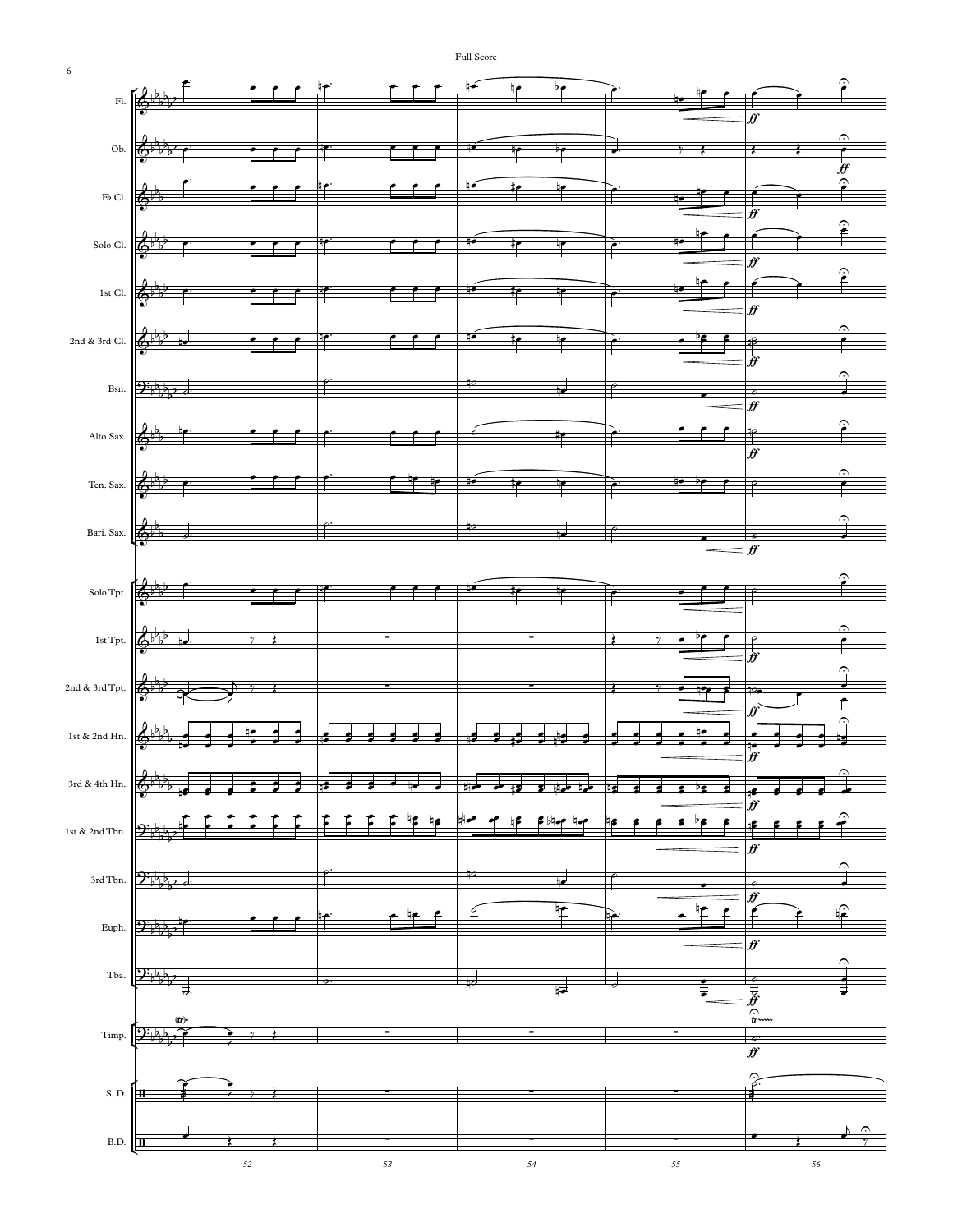